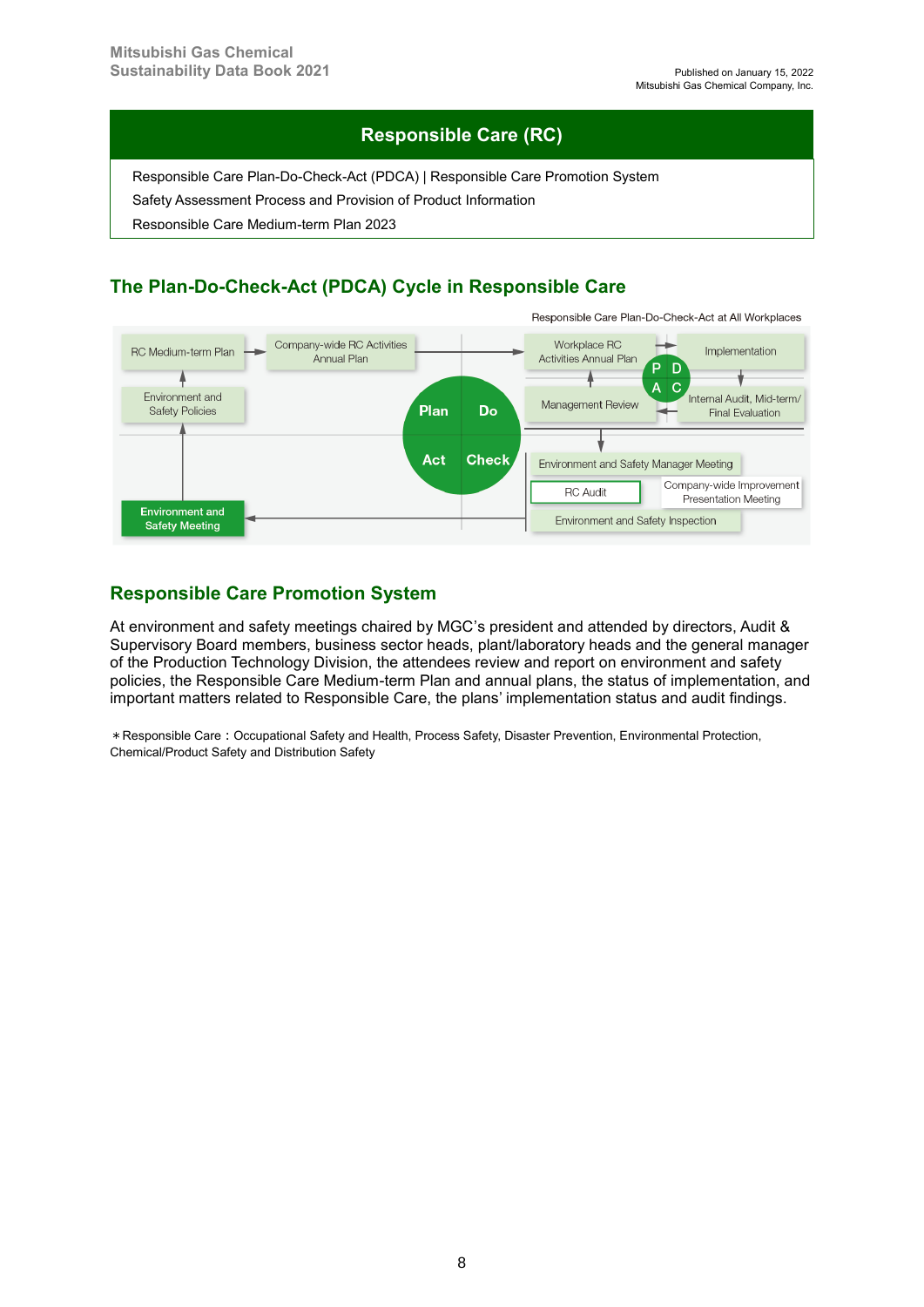## **Responsible Care (RC)**

Responsible Care Plan-Do-Check-Act (PDCA) | Responsible Care Promotion System

Safety Assessment Process and Provision of Product Information

Responsible Care Medium-term Plan 2023

# **The Plan-Do-Check-Act (PDCA) Cycle in Responsible Care**



#### **Responsible Care Promotion System**

At environment and safety meetings chaired by MGC's president and attended by directors, Audit & Supervisory Board members, business sector heads, plant/laboratory heads and the general manager of the Production Technology Division, the attendees review and report on environment and safety policies, the Responsible Care Medium-term Plan and annual plans, the status of implementation, and important matters related to Responsible Care, the plans' implementation status and audit findings.

\*Responsible Care:Occupational Safety and Health, Process Safety, Disaster Prevention, Environmental Protection, Chemical/Product Safety and Distribution Safety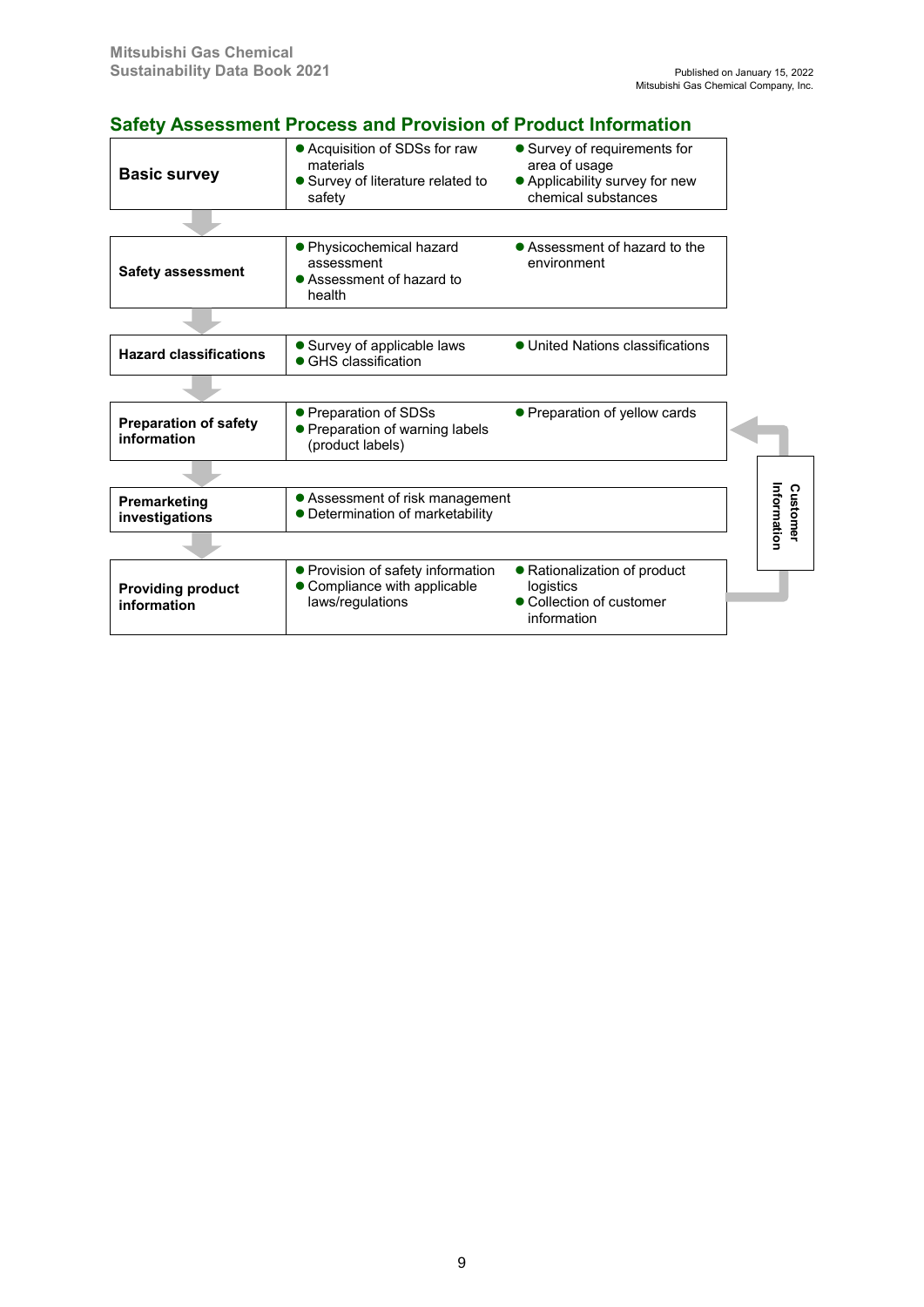## **Safety Assessment Process and Provision of Product Information**

| <b>Basic survey</b>                         | • Acquisition of SDSs for raw<br>materials<br>• Survey of literature related to<br>safety | • Survey of requirements for<br>area of usage<br>• Applicability survey for new<br>chemical substances |  |                         |
|---------------------------------------------|-------------------------------------------------------------------------------------------|--------------------------------------------------------------------------------------------------------|--|-------------------------|
|                                             |                                                                                           |                                                                                                        |  |                         |
| <b>Safety assessment</b>                    | ● Physicochemical hazard<br>assessment<br>• Assessment of hazard to<br>health             | • Assessment of hazard to the<br>environment                                                           |  |                         |
|                                             |                                                                                           |                                                                                                        |  |                         |
| <b>Hazard classifications</b>               | • Survey of applicable laws<br>• GHS classification                                       | • United Nations classifications                                                                       |  |                         |
|                                             |                                                                                           |                                                                                                        |  |                         |
| <b>Preparation of safety</b><br>information | • Preparation of SDSs<br>• Preparation of warning labels<br>(product labels)              | • Preparation of yellow cards                                                                          |  |                         |
|                                             |                                                                                           |                                                                                                        |  |                         |
| Premarketing<br>investigations              | • Assessment of risk management<br>• Determination of marketability                       |                                                                                                        |  | Information<br>Customer |
|                                             |                                                                                           |                                                                                                        |  |                         |
| <b>Providing product</b><br>information     | • Provision of safety information<br>• Compliance with applicable<br>laws/regulations     | • Rationalization of product<br>logistics<br>• Collection of customer<br>information                   |  |                         |